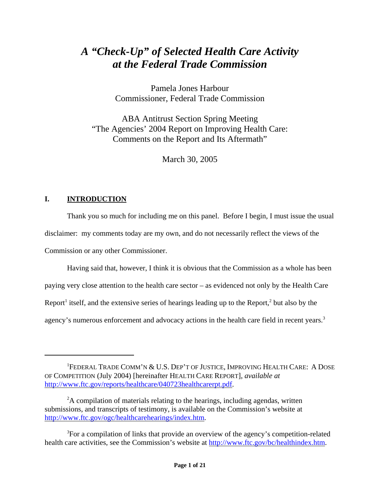# *A "Check-Up" of Selected Health Care Activity at the Federal Trade Commission*

Pamela Jones Harbour Commissioner, Federal Trade Commission

ABA Antitrust Section Spring Meeting "The Agencies' 2004 Report on Improving Health Care: Comments on the Report and Its Aftermath"

March 30, 2005

# **I. INTRODUCTION**

Thank you so much for including me on this panel. Before I begin, I must issue the usual disclaimer: my comments today are my own, and do not necessarily reflect the views of the Commission or any other Commissioner.

Having said that, however, I think it is obvious that the Commission as a whole has been paying very close attention to the health care sector – as evidenced not only by the Health Care Report<sup>1</sup> itself, and the extensive series of hearings leading up to the Report,<sup>2</sup> but also by the agency's numerous enforcement and advocacy actions in the health care field in recent years.<sup>3</sup>

<sup>&</sup>lt;sup>1</sup>FEDERAL TRADE COMM'N & U.S. DEP'T OF JUSTICE, IMPROVING HEALTH CARE: A DOSE OF COMPETITION (July 2004) [hereinafter HEALTH CARE REPORT], *available at* http://www.ftc.gov/reports/healthcare/040723healthcarerpt.pdf.

<sup>&</sup>lt;sup>2</sup>A compilation of materials relating to the hearings, including agendas, written submissions, and transcripts of testimony, is available on the Commission's website at http://www.ftc.gov/ogc/healthcarehearings/index.htm.

<sup>&</sup>lt;sup>3</sup>For a compilation of links that provide an overview of the agency's competition-related health care activities, see the Commission's website at http://www.ftc.gov/bc/healthindex.htm.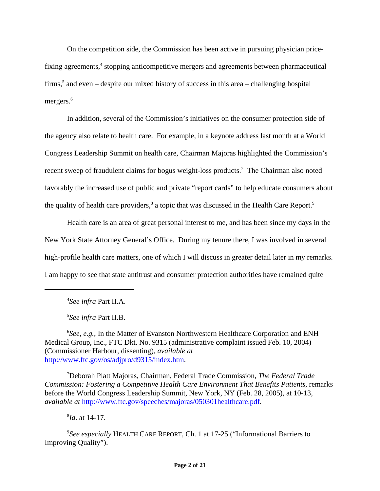On the competition side, the Commission has been active in pursuing physician pricefixing agreements,<sup>4</sup> stopping anticompetitive mergers and agreements between pharmaceutical firms,<sup>5</sup> and even – despite our mixed history of success in this area – challenging hospital mergers.<sup>6</sup>

In addition, several of the Commission's initiatives on the consumer protection side of the agency also relate to health care. For example, in a keynote address last month at a World Congress Leadership Summit on health care, Chairman Majoras highlighted the Commission's recent sweep of fraudulent claims for bogus weight-loss products.<sup>7</sup> The Chairman also noted favorably the increased use of public and private "report cards" to help educate consumers about the quality of health care providers,<sup>8</sup> a topic that was discussed in the Health Care Report.<sup>9</sup>

Health care is an area of great personal interest to me, and has been since my days in the New York State Attorney General's Office. During my tenure there, I was involved in several high-profile health care matters, one of which I will discuss in greater detail later in my remarks. I am happy to see that state antitrust and consumer protection authorities have remained quite

5 *See infra* Part II.B.

7 Deborah Platt Majoras, Chairman, Federal Trade Commission, *The Federal Trade Commission: Fostering a Competitive Health Care Environment That Benefits Patients*, remarks before the World Congress Leadership Summit, New York, NY (Feb. 28, 2005), at 10-13, *available at* http://www.ftc.gov/speeches/majoras/050301healthcare.pdf.

8 *Id*. at 14-17.

9 *See especially* HEALTH CARE REPORT, Ch. 1 at 17-25 ("Informational Barriers to Improving Quality").

<sup>4</sup> *See infra* Part II.A.

<sup>&</sup>lt;sup>6</sup>See, e.g., In the Matter of Evanston Northwestern Healthcare Corporation and ENH Medical Group, Inc., FTC Dkt. No. 9315 (administrative complaint issued Feb. 10, 2004) (Commissioner Harbour, dissenting), *available at* http://www.ftc.gov/os/adjpro/d9315/index.htm.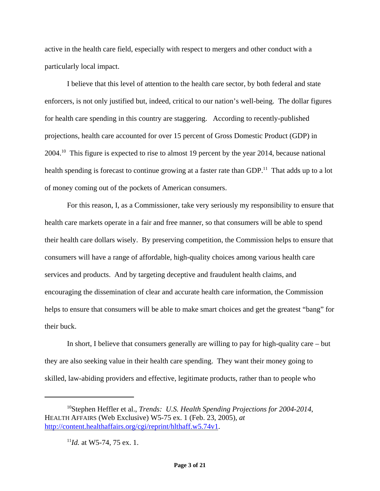active in the health care field, especially with respect to mergers and other conduct with a particularly local impact.

I believe that this level of attention to the health care sector, by both federal and state enforcers, is not only justified but, indeed, critical to our nation's well-being. The dollar figures for health care spending in this country are staggering. According to recently-published projections, health care accounted for over 15 percent of Gross Domestic Product (GDP) in 2004.10 This figure is expected to rise to almost 19 percent by the year 2014, because national health spending is forecast to continue growing at a faster rate than GDP.<sup>11</sup> That adds up to a lot of money coming out of the pockets of American consumers.

For this reason, I, as a Commissioner, take very seriously my responsibility to ensure that health care markets operate in a fair and free manner, so that consumers will be able to spend their health care dollars wisely. By preserving competition, the Commission helps to ensure that consumers will have a range of affordable, high-quality choices among various health care services and products. And by targeting deceptive and fraudulent health claims, and encouraging the dissemination of clear and accurate health care information, the Commission helps to ensure that consumers will be able to make smart choices and get the greatest "bang" for their buck.

In short, I believe that consumers generally are willing to pay for high-quality care – but they are also seeking value in their health care spending. They want their money going to skilled, law-abiding providers and effective, legitimate products, rather than to people who

<sup>10</sup>Stephen Heffler et al., *Trends: U.S. Health Spending Projections for 2004-2014*, HEALTH AFFAIRS (Web Exclusive) W5-75 ex. 1 (Feb. 23, 2005), *at* http://content.healthaffairs.org/cgi/reprint/hlthaff.w5.74v1.

 $11$ *Id.* at W5-74, 75 ex. 1.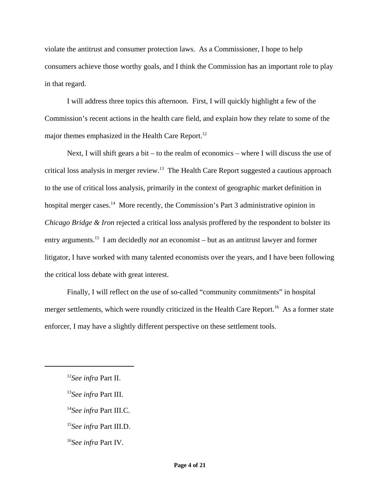violate the antitrust and consumer protection laws. As a Commissioner, I hope to help consumers achieve those worthy goals, and I think the Commission has an important role to play in that regard.

I will address three topics this afternoon. First, I will quickly highlight a few of the Commission's recent actions in the health care field, and explain how they relate to some of the major themes emphasized in the Health Care Report.<sup>12</sup>

Next, I will shift gears a bit – to the realm of economics – where I will discuss the use of critical loss analysis in merger review.<sup>13</sup> The Health Care Report suggested a cautious approach to the use of critical loss analysis, primarily in the context of geographic market definition in hospital merger cases.<sup>14</sup> More recently, the Commission's Part 3 administrative opinion in *Chicago Bridge & Iron* rejected a critical loss analysis proffered by the respondent to bolster its entry arguments.15 I am decidedly *not* an economist – but as an antitrust lawyer and former litigator, I have worked with many talented economists over the years, and I have been following the critical loss debate with great interest.

Finally, I will reflect on the use of so-called "community commitments" in hospital merger settlements, which were roundly criticized in the Health Care Report.<sup>16</sup> As a former state enforcer, I may have a slightly different perspective on these settlement tools.

<sup>12</sup>*See infra* Part II.

<sup>13</sup>*See infra* Part III.

<sup>14</sup>*See infra* Part III.C.

<sup>15</sup>*See infra* Part III.D.

<sup>16</sup>*See infra* Part IV.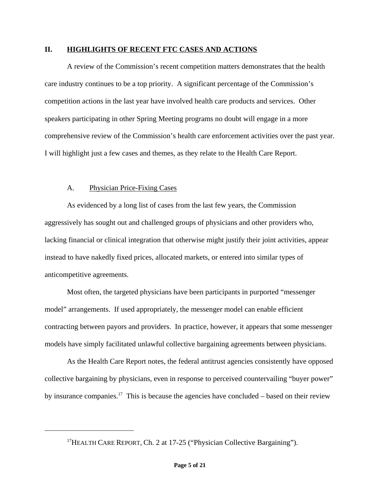#### **II. HIGHLIGHTS OF RECENT FTC CASES AND ACTIONS**

A review of the Commission's recent competition matters demonstrates that the health care industry continues to be a top priority. A significant percentage of the Commission's competition actions in the last year have involved health care products and services. Other speakers participating in other Spring Meeting programs no doubt will engage in a more comprehensive review of the Commission's health care enforcement activities over the past year. I will highlight just a few cases and themes, as they relate to the Health Care Report.

#### A. Physician Price-Fixing Cases

As evidenced by a long list of cases from the last few years, the Commission aggressively has sought out and challenged groups of physicians and other providers who, lacking financial or clinical integration that otherwise might justify their joint activities, appear instead to have nakedly fixed prices, allocated markets, or entered into similar types of anticompetitive agreements.

Most often, the targeted physicians have been participants in purported "messenger model" arrangements. If used appropriately, the messenger model can enable efficient contracting between payors and providers. In practice, however, it appears that some messenger models have simply facilitated unlawful collective bargaining agreements between physicians.

As the Health Care Report notes, the federal antitrust agencies consistently have opposed collective bargaining by physicians, even in response to perceived countervailing "buyer power" by insurance companies.<sup>17</sup> This is because the agencies have concluded – based on their review

<sup>&</sup>lt;sup>17</sup>HEALTH CARE REPORT, Ch. 2 at 17-25 ("Physician Collective Bargaining").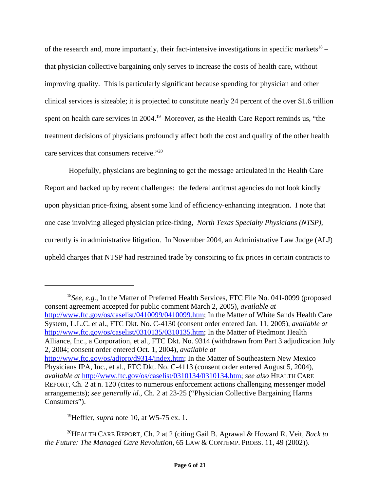of the research and, more importantly, their fact-intensive investigations in specific markets<sup>18</sup> – that physician collective bargaining only serves to increase the costs of health care, without improving quality. This is particularly significant because spending for physician and other clinical services is sizeable; it is projected to constitute nearly 24 percent of the over \$1.6 trillion spent on health care services in 2004.<sup>19</sup> Moreover, as the Health Care Report reminds us, "the treatment decisions of physicians profoundly affect both the cost and quality of the other health care services that consumers receive."20

 Hopefully, physicians are beginning to get the message articulated in the Health Care Report and backed up by recent challenges: the federal antitrust agencies do not look kindly upon physician price-fixing, absent some kind of efficiency-enhancing integration. I note that one case involving alleged physician price-fixing, *North Texas Specialty Physicians (NTSP)*, currently is in administrative litigation. In November 2004, an Administrative Law Judge (ALJ) upheld charges that NTSP had restrained trade by conspiring to fix prices in certain contracts to

<sup>18</sup>See, e.g., In the Matter of Preferred Health Services, FTC File No. 041-0099 (proposed consent agreement accepted for public comment March 2, 2005), *available at* http://www.ftc.gov/os/caselist/0410099/0410099.htm; In the Matter of White Sands Health Care System, L.L.C. et al., FTC Dkt. No. C-4130 (consent order entered Jan. 11, 2005), *available at* http://www.ftc.gov/os/caselist/0310135/0310135.htm; In the Matter of Piedmont Health Alliance, Inc., a Corporation, et al., FTC Dkt. No. 9314 (withdrawn from Part 3 adjudication July 2, 2004; consent order entered Oct. 1, 2004), *available at* http://www.ftc.gov/os/adjpro/d9314/index.htm; In the Matter of Southeastern New Mexico Physicians IPA, Inc., et al., FTC Dkt. No. C-4113 (consent order entered August 5, 2004), *available at* http://www.ftc.gov/os/caselist/0310134/0310134.htm; *see also* HEALTH CARE REPORT, Ch. 2 at n. 120 (cites to numerous enforcement actions challenging messenger model arrangements); *see generally id.*, Ch. 2 at 23-25 ("Physician Collective Bargaining Harms Consumers").

19Heffler, *supra* note 10, at W5-75 ex. 1.

20HEALTH CARE REPORT, Ch. 2 at 2 (citing Gail B. Agrawal & Howard R. Veit, *Back to the Future: The Managed Care Revolution*, 65 LAW & CONTEMP. PROBS. 11, 49 (2002)).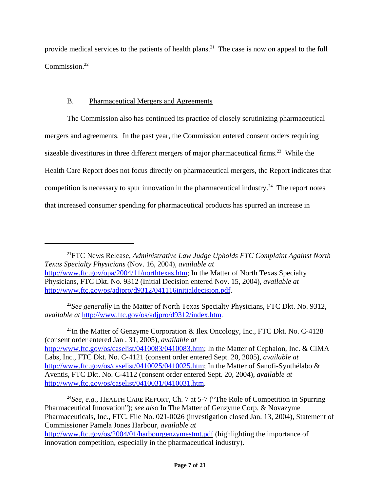provide medical services to the patients of health plans.<sup>21</sup> The case is now on appeal to the full Commission<sup>22</sup>

# B. Pharmaceutical Mergers and Agreements

The Commission also has continued its practice of closely scrutinizing pharmaceutical mergers and agreements. In the past year, the Commission entered consent orders requiring sizeable divestitures in three different mergers of major pharmaceutical firms.<sup>23</sup> While the Health Care Report does not focus directly on pharmaceutical mergers, the Report indicates that competition is necessary to spur innovation in the pharmaceutical industry.<sup>24</sup> The report notes that increased consumer spending for pharmaceutical products has spurred an increase in

<sup>23</sup>In the Matter of Genzyme Corporation & Ilex Oncology, Inc., FTC Dkt. No. C-4128 (consent order entered Jan . 31, 2005), *available at* http://www.ftc.gov/os/caselist/0410083/0410083.htm; In the Matter of Cephalon, Inc. & CIMA Labs, Inc., FTC Dkt. No. C-4121 (consent order entered Sept. 20, 2005), *available at* http://www.ftc.gov/os/caselist/0410025/0410025.htm; In the Matter of Sanofi-Synthélabo & Aventis, FTC Dkt. No. C-4112 (consent order entered Sept. 20, 2004), *available at* http://www.ftc.gov/os/caselist/0410031/0410031.htm.

<sup>24</sup>*See, e.g.*, HEALTH CARE REPORT, Ch. 7 at 5-7 ("The Role of Competition in Spurring Pharmaceutical Innovation"); *see also* In The Matter of Genzyme Corp. & Novazyme Pharmaceuticals, Inc., FTC. File No. 021-0026 (investigation closed Jan. 13, 2004), Statement of Commissioner Pamela Jones Harbour, *available at* http://www.ftc.gov/os/2004/01/harbourgenzymestmt.pdf (highlighting the importance of innovation competition, especially in the pharmaceutical industry).

<sup>21</sup>FTC News Release, *Administrative Law Judge Upholds FTC Complaint Against North Texas Specialty Physicians* (Nov. 16, 2004), *available at* http://www.ftc.gov/opa/2004/11/northtexas.htm; In the Matter of North Texas Specialty Physicians, FTC Dkt. No. 9312 (Initial Decision entered Nov. 15, 2004), *available at* http://www.ftc.gov/os/adjpro/d9312/041116initialdecision.pdf.

<sup>&</sup>lt;sup>22</sup>See generally In the Matter of North Texas Specialty Physicians, FTC Dkt. No. 9312, *available at* http://www.ftc.gov/os/adjpro/d9312/index.htm.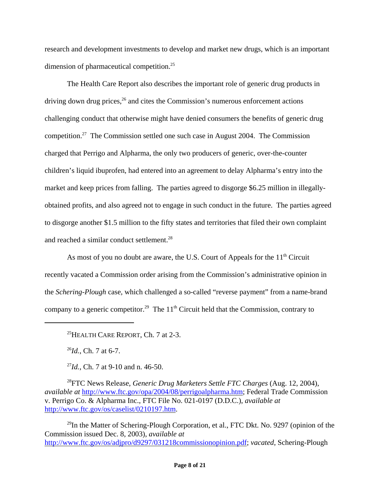research and development investments to develop and market new drugs, which is an important dimension of pharmaceutical competition.<sup>25</sup>

The Health Care Report also describes the important role of generic drug products in driving down drug prices,  $26$  and cites the Commission's numerous enforcement actions challenging conduct that otherwise might have denied consumers the benefits of generic drug competition.27 The Commission settled one such case in August 2004. The Commission charged that Perrigo and Alpharma, the only two producers of generic, over-the-counter children's liquid ibuprofen, had entered into an agreement to delay Alpharma's entry into the market and keep prices from falling. The parties agreed to disgorge \$6.25 million in illegallyobtained profits, and also agreed not to engage in such conduct in the future. The parties agreed to disgorge another \$1.5 million to the fifty states and territories that filed their own complaint and reached a similar conduct settlement.<sup>28</sup>

As most of you no doubt are aware, the U.S. Court of Appeals for the  $11<sup>th</sup>$  Circuit recently vacated a Commission order arising from the Commission's administrative opinion in the *Schering-Plough* case, which challenged a so-called "reverse payment" from a name-brand company to a generic competitor.<sup>29</sup> The  $11<sup>th</sup>$  Circuit held that the Commission, contrary to

<sup>26</sup>*Id.*, Ch. 7 at 6-7.

<sup>27</sup>*Id.*, Ch. 7 at 9-10 and n. 46-50.

28FTC News Release, *Generic Drug Marketers Settle FTC Charges* (Aug. 12, 2004), *available at* http://www.ftc.gov/opa/2004/08/perrigoalpharma.htm; Federal Trade Commission v. Perrigo Co. & Alpharma Inc., FTC File No. 021-0197 (D.D.C.), *available at* http://www.ftc.gov/os/caselist/0210197.htm.

<sup>29</sup>In the Matter of Schering-Plough Corporation, et al., FTC Dkt. No. 9297 (opinion of the Commission issued Dec. 8, 2003), *available at* http://www.ftc.gov/os/adjpro/d9297/031218commissionopinion.pdf; *vacated*, Schering-Plough

<sup>&</sup>lt;sup>25</sup>HEALTH CARE REPORT, Ch. 7 at  $2-3$ .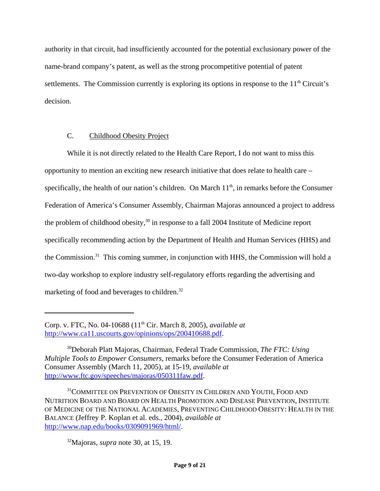authority in that circuit, had insufficiently accounted for the potential exclusionary power of the name-brand company's patent, as well as the strong procompetitive potential of patent settlements. The Commission currently is exploring its options in response to the  $11<sup>th</sup>$  Circuit's decision.

## C. Childhood Obesity Project

While it is not directly related to the Health Care Report, I do not want to miss this opportunity to mention an exciting new research initiative that does relate to health care – specifically, the health of our nation's children. On March  $11<sup>th</sup>$ , in remarks before the Consumer Federation of America's Consumer Assembly, Chairman Majoras announced a project to address the problem of childhood obesity, $30$  in response to a fall 2004 Institute of Medicine report specifically recommending action by the Department of Health and Human Services (HHS) and the Commission.<sup>31</sup> This coming summer, in conjunction with HHS, the Commission will hold a two-day workshop to explore industry self-regulatory efforts regarding the advertising and marketing of food and beverages to children.<sup>32</sup>

Corp. v. FTC, No. 04-10688 (11th Cir. March 8, 2005), *available at* http://www.ca11.uscourts.gov/opinions/ops/200410688.pdf.

<sup>30</sup>Deborah Platt Majoras, Chairman, Federal Trade Commission, *The FTC: Using Multiple Tools to Empower Consumers*, remarks before the Consumer Federation of America Consumer Assembly (March 11, 2005), at 15-19, *available at* http://www.ftc.gov/speeches/majoras/050311faw.pdf.

<sup>&</sup>lt;sup>31</sup>COMMITTEE ON PREVENTION OF OBESITY IN CHILDREN AND YOUTH, FOOD AND NUTRITION BOARD AND BOARD ON HEALTH PROMOTION AND DISEASE PREVENTION, INSTITUTE OF MEDICINE OF THE NATIONAL ACADEMIES, PREVENTING CHILDHOOD OBESITY: HEALTH IN THE BALANCE (Jeffrey P. Koplan et al. eds., 2004), *available at* http://www.nap.edu/books/0309091969/html/.

<sup>32</sup>Majoras, *supra* note 30, at 15, 19.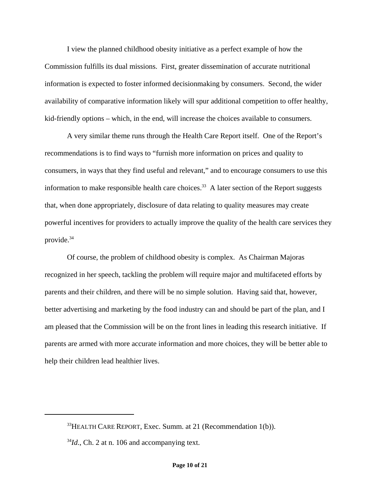I view the planned childhood obesity initiative as a perfect example of how the Commission fulfills its dual missions. First, greater dissemination of accurate nutritional information is expected to foster informed decisionmaking by consumers. Second, the wider availability of comparative information likely will spur additional competition to offer healthy, kid-friendly options – which, in the end, will increase the choices available to consumers.

A very similar theme runs through the Health Care Report itself. One of the Report's recommendations is to find ways to "furnish more information on prices and quality to consumers, in ways that they find useful and relevant," and to encourage consumers to use this information to make responsible health care choices.<sup>33</sup> A later section of the Report suggests that, when done appropriately, disclosure of data relating to quality measures may create powerful incentives for providers to actually improve the quality of the health care services they provide.34

Of course, the problem of childhood obesity is complex. As Chairman Majoras recognized in her speech, tackling the problem will require major and multifaceted efforts by parents and their children, and there will be no simple solution. Having said that, however, better advertising and marketing by the food industry can and should be part of the plan, and I am pleased that the Commission will be on the front lines in leading this research initiative. If parents are armed with more accurate information and more choices, they will be better able to help their children lead healthier lives.

 $33$ HEALTH CARE REPORT, Exec. Summ. at 21 (Recommendation 1(b)).

<sup>&</sup>lt;sup>34</sup>*Id.*, Ch. 2 at n. 106 and accompanying text.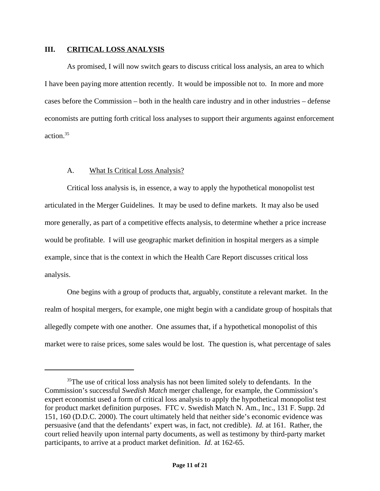#### **III. CRITICAL LOSS ANALYSIS**

As promised, I will now switch gears to discuss critical loss analysis, an area to which I have been paying more attention recently. It would be impossible not to. In more and more cases before the Commission – both in the health care industry and in other industries – defense economists are putting forth critical loss analyses to support their arguments against enforcement action.35

### A. What Is Critical Loss Analysis?

Critical loss analysis is, in essence, a way to apply the hypothetical monopolist test articulated in the Merger Guidelines. It may be used to define markets. It may also be used more generally, as part of a competitive effects analysis, to determine whether a price increase would be profitable. I will use geographic market definition in hospital mergers as a simple example, since that is the context in which the Health Care Report discusses critical loss analysis.

One begins with a group of products that, arguably, constitute a relevant market. In the realm of hospital mergers, for example, one might begin with a candidate group of hospitals that allegedly compete with one another. One assumes that, if a hypothetical monopolist of this market were to raise prices, some sales would be lost. The question is, what percentage of sales

<sup>&</sup>lt;sup>35</sup>The use of critical loss analysis has not been limited solely to defendants. In the Commission's successful *Swedish Match* merger challenge, for example, the Commission's expert economist used a form of critical loss analysis to apply the hypothetical monopolist test for product market definition purposes. FTC v. Swedish Match N. Am., Inc., 131 F. Supp. 2d 151, 160 (D.D.C. 2000). The court ultimately held that neither side's economic evidence was persuasive (and that the defendants' expert was, in fact, not credible). *Id.* at 161. Rather, the court relied heavily upon internal party documents, as well as testimony by third-party market participants, to arrive at a product market definition. *Id.* at 162-65.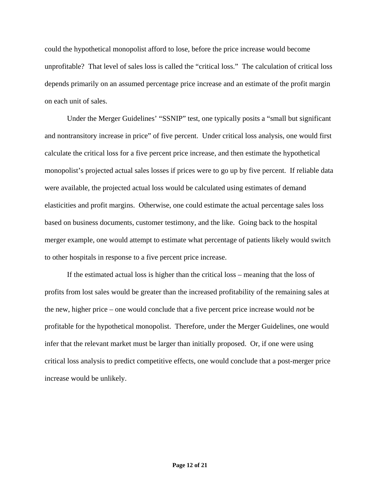could the hypothetical monopolist afford to lose, before the price increase would become unprofitable? That level of sales loss is called the "critical loss." The calculation of critical loss depends primarily on an assumed percentage price increase and an estimate of the profit margin on each unit of sales.

Under the Merger Guidelines' "SSNIP" test, one typically posits a "small but significant and nontransitory increase in price" of five percent. Under critical loss analysis, one would first calculate the critical loss for a five percent price increase, and then estimate the hypothetical monopolist's projected actual sales losses if prices were to go up by five percent. If reliable data were available, the projected actual loss would be calculated using estimates of demand elasticities and profit margins. Otherwise, one could estimate the actual percentage sales loss based on business documents, customer testimony, and the like. Going back to the hospital merger example, one would attempt to estimate what percentage of patients likely would switch to other hospitals in response to a five percent price increase.

If the estimated actual loss is higher than the critical loss – meaning that the loss of profits from lost sales would be greater than the increased profitability of the remaining sales at the new, higher price – one would conclude that a five percent price increase would *not* be profitable for the hypothetical monopolist. Therefore, under the Merger Guidelines, one would infer that the relevant market must be larger than initially proposed. Or, if one were using critical loss analysis to predict competitive effects, one would conclude that a post-merger price increase would be unlikely.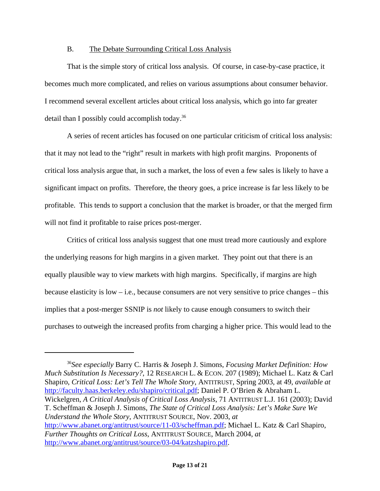#### B. The Debate Surrounding Critical Loss Analysis

That is the simple story of critical loss analysis. Of course, in case-by-case practice, it becomes much more complicated, and relies on various assumptions about consumer behavior. I recommend several excellent articles about critical loss analysis, which go into far greater detail than I possibly could accomplish today.36

A series of recent articles has focused on one particular criticism of critical loss analysis: that it may not lead to the "right" result in markets with high profit margins. Proponents of critical loss analysis argue that, in such a market, the loss of even a few sales is likely to have a significant impact on profits. Therefore, the theory goes, a price increase is far less likely to be profitable. This tends to support a conclusion that the market is broader, or that the merged firm will not find it profitable to raise prices post-merger.

Critics of critical loss analysis suggest that one must tread more cautiously and explore the underlying reasons for high margins in a given market. They point out that there is an equally plausible way to view markets with high margins. Specifically, if margins are high because elasticity is low – i.e., because consumers are not very sensitive to price changes – this implies that a post-merger SSNIP is *not* likely to cause enough consumers to switch their purchases to outweigh the increased profits from charging a higher price. This would lead to the

<sup>36</sup>*See especially* Barry C. Harris & Joseph J. Simons, *Focusing Market Definition: How Much Substitution Is Necessary?*, 12 RESEARCH L. & ECON. 207 (1989); Michael L. Katz & Carl Shapiro, *Critical Loss: Let's Tell The Whole Story*, ANTITRUST, Spring 2003, at 49, *available at* http://faculty.haas.berkeley.edu/shapiro/critical.pdf; Daniel P. O'Brien & Abraham L. Wickelgren, *A Critical Analysis of Critical Loss Analysis*, 71 ANTITRUST L.J. 161 (2003); David T. Scheffman & Joseph J. Simons, *The State of Critical Loss Analysis: Let's Make Sure We Understand the Whole Story*, ANTITRUST SOURCE, Nov. 2003, *at* http://www.abanet.org/antitrust/source/11-03/scheffman.pdf; Michael L. Katz & Carl Shapiro, *Further Thoughts on Critical Loss*, ANTITRUST SOURCE, March 2004, *at* http://www.abanet.org/antitrust/source/03-04/katzshapiro.pdf.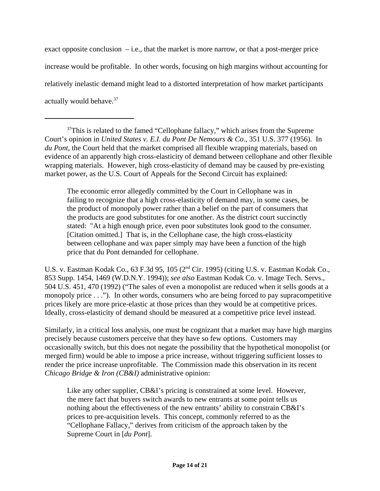exact opposite conclusion  $-$  i.e., that the market is more narrow, or that a post-merger price increase would be profitable. In other words, focusing on high margins without accounting for relatively inelastic demand might lead to a distorted interpretation of how market participants actually would behave.<sup>37</sup>

The economic error allegedly committed by the Court in Cellophane was in failing to recognize that a high cross-elasticity of demand may, in some cases, be the product of monopoly power rather than a belief on the part of consumers that the products are good substitutes for one another. As the district court succinctly stated: "At a high enough price, even poor substitutes look good to the consumer. [Citation omitted.] That is, in the Cellophane case, the high cross-elasticity between cellophane and wax paper simply may have been a function of the high price that du Pont demanded for cellophane.

U.S. v. Eastman Kodak Co., 63 F.3d 95, 105 (2nd Cir. 1995) (citing U.S. v. Eastman Kodak Co., 853 Supp. 1454, 1469 (W.D.N.Y. 1994)); *see also* Eastman Kodak Co. v. Image Tech. Servs., 504 U.S. 451, 470 (1992) ("The sales of even a monopolist are reduced when it sells goods at a monopoly price . . ."). In other words, consumers who are being forced to pay supracompetitive prices likely are more price-elastic at those prices than they would be at competitive prices. Ideally, cross-elasticity of demand should be measured at a competitive price level instead.

Similarly, in a critical loss analysis, one must be cognizant that a market may have high margins precisely because customers perceive that they have so few options. Customers may occasionally switch, but this does not negate the possibility that the hypothetical monopolist (or merged firm) would be able to impose a price increase, without triggering sufficient losses to render the price increase unprofitable. The Commission made this observation in its recent *Chicago Bridge & Iron (CB&I)* administrative opinion:

Like any other supplier, CB&I's pricing is constrained at some level. However, the mere fact that buyers switch awards to new entrants at some point tells us nothing about the effectiveness of the new entrants' ability to constrain CB&I's prices to pre-acquisition levels. This concept, commonly referred to as the "Cellophane Fallacy," derives from criticism of the approach taken by the Supreme Court in [*du Pont*].

<sup>&</sup>lt;sup>37</sup>This is related to the famed "Cellophane fallacy," which arises from the Supreme Court's opinion in *United States v. E.I. du Pont De Nemours & Co.*, 351 U.S. 377 (1956). In *du Pont*, the Court held that the market comprised all flexible wrapping materials, based on evidence of an apparently high cross-elasticity of demand between cellophane and other flexible wrapping materials. However, high cross-elasticity of demand may be caused by pre-existing market power, as the U.S. Court of Appeals for the Second Circuit has explained: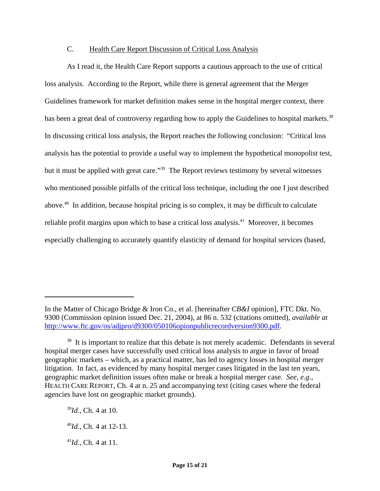### C. Health Care Report Discussion of Critical Loss Analysis

As I read it, the Health Care Report supports a cautious approach to the use of critical loss analysis. According to the Report, while there is general agreement that the Merger Guidelines framework for market definition makes sense in the hospital merger context, there has been a great deal of controversy regarding how to apply the Guidelines to hospital markets.<sup>38</sup> In discussing critical loss analysis, the Report reaches the following conclusion: "Critical loss analysis has the potential to provide a useful way to implement the hypothetical monopolist test, but it must be applied with great care."<sup>39</sup> The Report reviews testimony by several witnesses who mentioned possible pitfalls of the critical loss technique, including the one I just described above.40 In addition, because hospital pricing is so complex, it may be difficult to calculate reliable profit margins upon which to base a critical loss analysis.<sup>41</sup> Moreover, it becomes especially challenging to accurately quantify elasticity of demand for hospital services (based,

In the Matter of Chicago Bridge & Iron Co., et al. [hereinafter *CB&I* opinion], FTC Dkt. No. 9300 (Commission opinion issued Dec. 21, 2004), at 86 n. 532 (citations omitted), *available at* http://www.ftc.gov/os/adjpro/d9300/050106opionpublicrecordversion9300.pdf.

<sup>&</sup>lt;sup>38</sup> It is important to realize that this debate is not merely academic. Defendants in several hospital merger cases have successfully used critical loss analysis to argue in favor of broad geographic markets – which, as a practical matter, has led to agency losses in hospital merger litigation. In fact, as evidenced by many hospital merger cases litigated in the last ten years, geographic market definition issues often make or break a hospital merger case. *See, e.g.,* HEALTH CARE REPORT, Ch. 4 at n. 25 and accompanying text (citing cases where the federal agencies have lost on geographic market grounds).

<sup>39</sup>*Id.*, Ch. 4 at 10.

<sup>40</sup>*Id.*, Ch. 4 at 12-13.

<sup>41</sup>*Id.*, Ch. 4 at 11.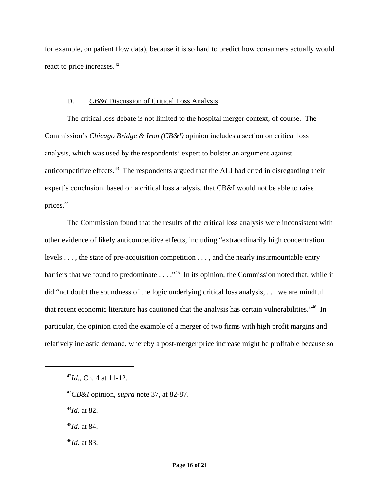for example, on patient flow data), because it is so hard to predict how consumers actually would react to price increases.<sup>42</sup>

#### D. *CB&I* Discussion of Critical Loss Analysis

The critical loss debate is not limited to the hospital merger context, of course. The Commission's *Chicago Bridge & Iron (CB&I)* opinion includes a section on critical loss analysis, which was used by the respondents' expert to bolster an argument against anticompetitive effects.<sup>43</sup> The respondents argued that the ALJ had erred in disregarding their expert's conclusion, based on a critical loss analysis, that CB&I would not be able to raise prices.<sup>44</sup>

The Commission found that the results of the critical loss analysis were inconsistent with other evidence of likely anticompetitive effects, including "extraordinarily high concentration levels . . . , the state of pre-acquisition competition . . . , and the nearly insurmountable entry barriers that we found to predominate  $\dots$ .  $^{45}$  In its opinion, the Commission noted that, while it did "not doubt the soundness of the logic underlying critical loss analysis, . . . we are mindful that recent economic literature has cautioned that the analysis has certain vulnerabilities."46 In particular, the opinion cited the example of a merger of two firms with high profit margins and relatively inelastic demand, whereby a post-merger price increase might be profitable because so

<sup>44</sup>*Id.* at 82.

<sup>45</sup>*Id.* at 84.

<sup>46</sup>*Id.* at 83.

<sup>42</sup>*Id.*, Ch. 4 at 11-12.

<sup>43</sup>*CB&I* opinion, *supra* note 37, at 82-87.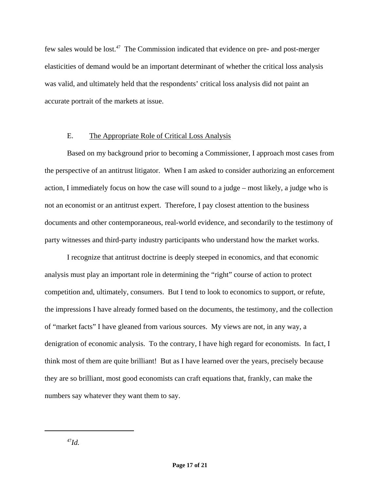few sales would be lost.47 The Commission indicated that evidence on pre- and post-merger elasticities of demand would be an important determinant of whether the critical loss analysis was valid, and ultimately held that the respondents' critical loss analysis did not paint an accurate portrait of the markets at issue.

#### E. The Appropriate Role of Critical Loss Analysis

Based on my background prior to becoming a Commissioner, I approach most cases from the perspective of an antitrust litigator. When I am asked to consider authorizing an enforcement action, I immediately focus on how the case will sound to a judge – most likely, a judge who is not an economist or an antitrust expert. Therefore, I pay closest attention to the business documents and other contemporaneous, real-world evidence, and secondarily to the testimony of party witnesses and third-party industry participants who understand how the market works.

I recognize that antitrust doctrine is deeply steeped in economics, and that economic analysis must play an important role in determining the "right" course of action to protect competition and, ultimately, consumers. But I tend to look to economics to support, or refute, the impressions I have already formed based on the documents, the testimony, and the collection of "market facts" I have gleaned from various sources. My views are not, in any way, a denigration of economic analysis. To the contrary, I have high regard for economists. In fact, I think most of them are quite brilliant! But as I have learned over the years, precisely because they are so brilliant, most good economists can craft equations that, frankly, can make the numbers say whatever they want them to say.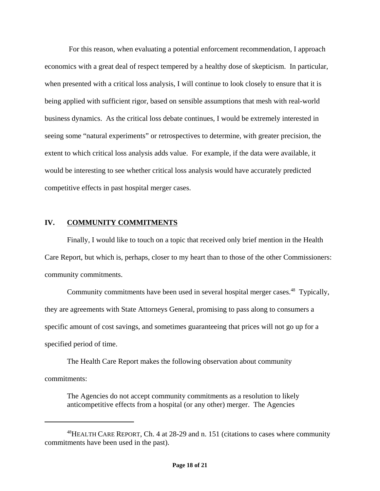For this reason, when evaluating a potential enforcement recommendation, I approach economics with a great deal of respect tempered by a healthy dose of skepticism. In particular, when presented with a critical loss analysis, I will continue to look closely to ensure that it is being applied with sufficient rigor, based on sensible assumptions that mesh with real-world business dynamics. As the critical loss debate continues, I would be extremely interested in seeing some "natural experiments" or retrospectives to determine, with greater precision, the extent to which critical loss analysis adds value. For example, if the data were available, it would be interesting to see whether critical loss analysis would have accurately predicted competitive effects in past hospital merger cases.

## **IV. COMMUNITY COMMITMENTS**

Finally, I would like to touch on a topic that received only brief mention in the Health Care Report, but which is, perhaps, closer to my heart than to those of the other Commissioners: community commitments.

Community commitments have been used in several hospital merger cases.<sup>48</sup> Typically, they are agreements with State Attorneys General, promising to pass along to consumers a specific amount of cost savings, and sometimes guaranteeing that prices will not go up for a specified period of time.

The Health Care Report makes the following observation about community commitments:

The Agencies do not accept community commitments as a resolution to likely anticompetitive effects from a hospital (or any other) merger. The Agencies

<sup>&</sup>lt;sup>48</sup>HEALTH CARE REPORT, Ch. 4 at 28-29 and n. 151 (citations to cases where community commitments have been used in the past).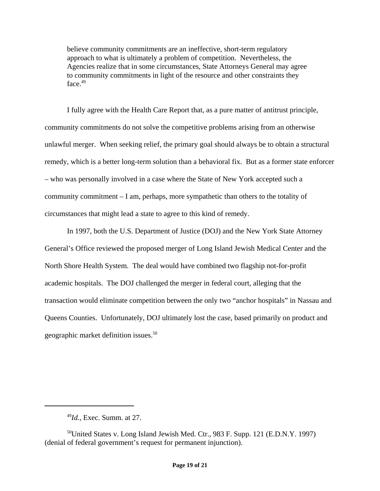believe community commitments are an ineffective, short-term regulatory approach to what is ultimately a problem of competition. Nevertheless, the Agencies realize that in some circumstances, State Attorneys General may agree to community commitments in light of the resource and other constraints they face.<sup>49</sup>

I fully agree with the Health Care Report that, as a pure matter of antitrust principle, community commitments do not solve the competitive problems arising from an otherwise unlawful merger. When seeking relief, the primary goal should always be to obtain a structural remedy, which is a better long-term solution than a behavioral fix. But as a former state enforcer – who was personally involved in a case where the State of New York accepted such a community commitment – I am, perhaps, more sympathetic than others to the totality of circumstances that might lead a state to agree to this kind of remedy.

In 1997, both the U.S. Department of Justice (DOJ) and the New York State Attorney General's Office reviewed the proposed merger of Long Island Jewish Medical Center and the North Shore Health System. The deal would have combined two flagship not-for-profit academic hospitals. The DOJ challenged the merger in federal court, alleging that the transaction would eliminate competition between the only two "anchor hospitals" in Nassau and Queens Counties. Unfortunately, DOJ ultimately lost the case, based primarily on product and geographic market definition issues.<sup>50</sup>

<sup>49</sup>*Id.*, Exec. Summ. at 27.

<sup>50</sup>United States v. Long Island Jewish Med. Ctr., 983 F. Supp. 121 (E.D.N.Y. 1997) (denial of federal government's request for permanent injunction).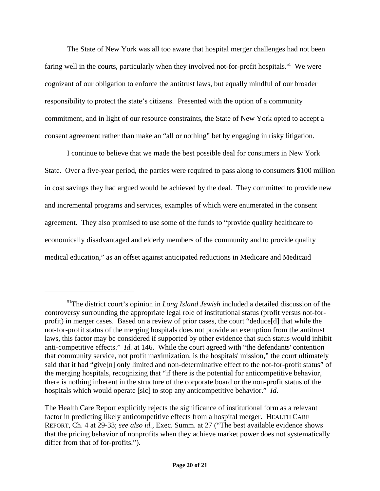The State of New York was all too aware that hospital merger challenges had not been faring well in the courts, particularly when they involved not-for-profit hospitals.<sup>51</sup> We were cognizant of our obligation to enforce the antitrust laws, but equally mindful of our broader responsibility to protect the state's citizens. Presented with the option of a community commitment, and in light of our resource constraints, the State of New York opted to accept a consent agreement rather than make an "all or nothing" bet by engaging in risky litigation.

I continue to believe that we made the best possible deal for consumers in New York State. Over a five-year period, the parties were required to pass along to consumers \$100 million in cost savings they had argued would be achieved by the deal. They committed to provide new and incremental programs and services, examples of which were enumerated in the consent agreement. They also promised to use some of the funds to "provide quality healthcare to economically disadvantaged and elderly members of the community and to provide quality medical education," as an offset against anticipated reductions in Medicare and Medicaid

<sup>51</sup>The district court's opinion in *Long Island Jewish* included a detailed discussion of the controversy surrounding the appropriate legal role of institutional status (profit versus not-forprofit) in merger cases. Based on a review of prior cases, the court "deduce[d] that while the not-for-profit status of the merging hospitals does not provide an exemption from the antitrust laws, this factor may be considered if supported by other evidence that such status would inhibit anti-competitive effects." *Id.* at 146. While the court agreed with "the defendants' contention that community service, not profit maximization, is the hospitals' mission," the court ultimately said that it had "give[n] only limited and non-determinative effect to the not-for-profit status" of the merging hospitals, recognizing that "if there is the potential for anticompetitive behavior, there is nothing inherent in the structure of the corporate board or the non-profit status of the hospitals which would operate [sic] to stop any anticompetitive behavior." *Id*.

The Health Care Report explicitly rejects the significance of institutional form as a relevant factor in predicting likely anticompetitive effects from a hospital merger. HEALTH CARE REPORT, Ch. 4 at 29-33; *see also id.*, Exec. Summ. at 27 ("The best available evidence shows that the pricing behavior of nonprofits when they achieve market power does not systematically differ from that of for-profits.").